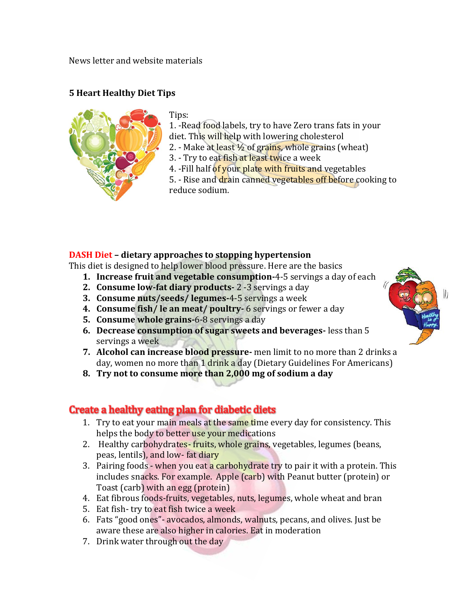News letter and website materials

## **5 Heart Healthy Diet Tips**



Tips:

1. -Read food labels, try to have Zero trans fats in your diet. This will help with lowering cholesterol

- 2. Make at least  $\frac{1}{2}$  of grains, whole grains (wheat)
- 3. Try to eat fish at least twice a week

4. -Fill half of your plate with fruits and vegetables

5. - Rise and drain canned vegetables off before cooking to reduce sodium.

## **DASH Diet – dietary approaches to stopping hypertension**

This diet is designed to help lower blood pressure. Here are the basics

- **1. Increase fruit and vegetable consumption-**4-5 servings a day of each
- **2. Consume low-fat diary products-** 2 -3 servings a day
- **3. Consume nuts/seeds/ legumes-**4-5 servings a week
- **4. Consume fish/ le an meat/ poultry-** 6 servings or fewer a day
- **5. Consume whole grains-**6-8 servings a day
- **6. Decrease consumption of sugar sweets and beverages-** less than 5 servings a week
- **7. Alcohol can increase blood pressure-** men limit to no more than 2 drinks a day, women no more than 1 drink a day (Dietary Guidelines For Americans)
- **8. Try not to consume more than 2,000 mg of sodium a day**

## Create a healthy eating plan for diabetic diets

- 1. Try to eat your main meals at the same time every day for consistency. This helps the body to better use your medications
- 2. Healthy carbohydrates-fruits, whole grains, vegetables, legumes (beans, peas, lentils), and low- fat diary
- 3. Pairing foods when you eat a carbohydrate try to pair it with a protein. This includes snacks. For example. Apple (carb) with Peanut butter (protein) or Toast (carb) with an egg (protein)
- 4. Eat fibrous foods-fruits, vegetables, nuts, legumes, whole wheat and bran
- 5. Eat fish- try to eat fish twice a week
- 6. Fats "good ones"- avocados, almonds, walnuts, pecans, and olives. Just be aware these are also higher in calories. Eat in moderation
- 7. Drink water through out the day